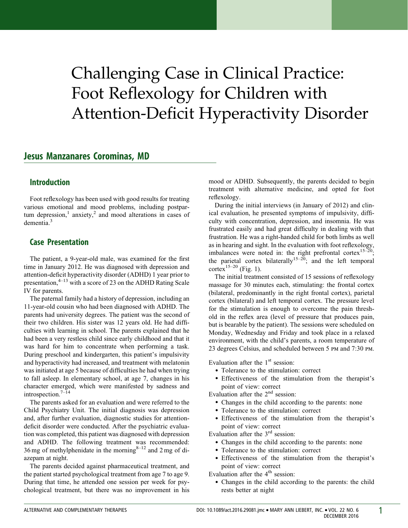# Challenging Case in Clinical Practice: Foot Reflexology for Children with Attention-Deficit Hyperactivity Disorder

## Jesus Manzanares Corominas, MD

#### Introduction

Foot reflexology has been used with good results for treating various emotional and mood problems, including postpartum depression,<sup>1</sup> anxiety,<sup>2</sup> and mood alterations in cases of dementia.<sup>3</sup>

### Case Presentation

The patient, a 9-year-old male, was examined for the first time in January 2012. He was diagnosed with depression and attention-deficit hyperactivity disorder (ADHD) 1 year prior to presentation, $4-13$  with a score of 23 on the ADHD Rating Scale IV for parents.

The paternal family had a history of depression, including an 11-year-old cousin who had been diagnosed with ADHD. The parents had university degrees. The patient was the second of their two children. His sister was 12 years old. He had difficulties with learning in school. The parents explained that he had been a very restless child since early childhood and that it was hard for him to concentrate when performing a task. During preschool and kindergarten, this patient's impulsivity and hyperactivity had increased, and treatment with melatonin was initiated at age 5 because of difficulties he had when trying to fall asleep. In elementary school, at age 7, changes in his character emerged, which were manifested by sadness and introspection.7–14

The parents asked for an evaluation and were referred to the Child Psychiatry Unit. The initial diagnosis was depression and, after further evaluation, diagnostic studies for attentiondeficit disorder were conducted. After the psychiatric evaluation was completed, this patient was diagnosed with depression and ADHD. The following treatment was recommended: 36 mg of methylphenidate in the morning $8-12$  and 2 mg of diazepam at night.

The parents decided against pharmaceutical treatment, and the patient started psychological treatment from age 7 to age 9. During that time, he attended one session per week for psychological treatment, but there was no improvement in his mood or ADHD. Subsequently, the parents decided to begin treatment with alternative medicine, and opted for foot reflexology.

During the initial interviews (in January of 2012) and clinical evaluation, he presented symptoms of impulsivity, difficulty with concentration, depression, and insomnia. He was frustrated easily and had great difficulty in dealing with that frustration. He was a right-handed child for both limbs as well as in hearing and sight. In the evaluation with foot reflexology, imbalances were noted in: the right prefrontal cortex<sup>15–20</sup>; the parietal cortex bilaterally<sup>15–20</sup>; and the left temporal cortex<sup>15–20</sup> (Fig. 1).

The initial treatment consisted of 15 sessions of reflexology massage for 30 minutes each, stimulating: the frontal cortex (bilateral, predominantly in the right frontal cortex), parietal cortex (bilateral) and left temporal cortex. The pressure level for the stimulation is enough to overcome the pain threshold in the reflex area (level of pressure that produces pain, but is bearable by the patient). The sessions were scheduled on Monday, Wednesday and Friday and took place in a relaxed environment, with the child's parents, a room temperature of 23 degrees Celsius, and scheduled between 5 pm and 7:30 pm.

Evaluation after the  $1<sup>st</sup>$  session:

- Tolerance to the stimulation: correct
- Effectiveness of the stimulation from the therapist's point of view: correct

Evaluation after the 2nd session:

- Changes in the child according to the parents: none
- Tolerance to the stimulation: correct
- Effectiveness of the stimulation from the therapist's point of view: correct

Evaluation after the 3rd session:

- Changes in the child according to the parents: none
- Tolerance to the stimulation: correct
- Effectiveness of the stimulation from the therapist's point of view: correct

Evaluation after the 4<sup>th</sup> session:

 Changes in the child according to the parents: the child rests better at night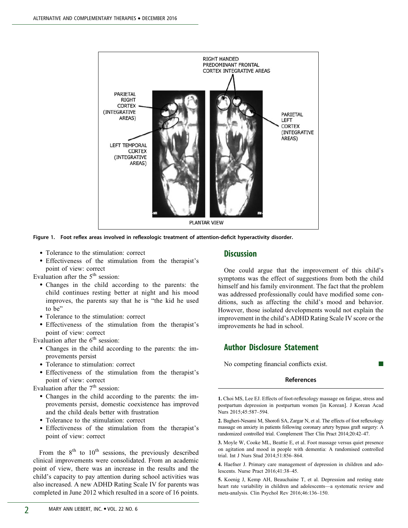

Figure 1. Foot reflex areas involved in reflexologic treatment of attention-deficit hyperactivity disorder.

- Tolerance to the stimulation: correct
- Effectiveness of the stimulation from the therapist's point of view: correct

Evaluation after the  $5<sup>th</sup>$  session:

- Changes in the child according to the parents: the child continues resting better at night and his mood improves, the parents say that he is "the kid he used to be"
- Tolerance to the stimulation: correct
- Effectiveness of the stimulation from the therapist's point of view: correct

Evaluation after the  $6<sup>th</sup>$  session:

- Changes in the child according to the parents: the improvements persist
- Tolerance to stimulation: correct
- Effectiveness of the stimulation from the therapist's point of view: correct

Evaluation after the  $7<sup>th</sup>$  session:

- Changes in the child according to the parents: the improvements persist, domestic coexistence has improved and the child deals better with frustration
- Tolerance to the stimulation: correct
- Effectiveness of the stimulation from the therapist's point of view: correct

From the  $8<sup>th</sup>$  to  $10<sup>th</sup>$  sessions, the previously described clinical improvements were consolidated. From an academic point of view, there was an increase in the results and the child's capacity to pay attention during school activities was also increased. A new ADHD Rating Scale IV for parents was completed in June 2012 which resulted in a score of 16 points.

#### **Discussion**

One could argue that the improvement of this child's symptoms was the effect of suggestions from both the child himself and his family environment. The fact that the problem was addressed professionally could have modified some conditions, such as affecting the child's mood and behavior. However, those isolated developments would not explain the improvement in the child's ADHD Rating Scale IV score or the improvements he had in school.

#### Author Disclosure Statement

No competing financial conflicts exist.

#### References

1. Choi MS, Lee EJ. Effects of foot-reflexology massage on fatigue, stress and postpartum depression in postpartum women [in Korean]. J Korean Acad Nurs 2015;45:587–594.

2. Bagheri-Nesami M, Shorofi SA, Zargar N, et al. The effects of foot reflexology massage on anxiety in patients following coronary artery bypass graft surgery: A randomized controlled trial. Complement Ther Clin Pract 2014;20:42–47.

3. Moyle W, Cooke ML, Beattie E, et al. Foot massage versus quiet presence on agitation and mood in people with dementia: A randomised controlled trial. Int J Nurs Stud 2014;51:856–864.

4. Haefner J. Primary care management of depression in children and adolescents. Nurse Pract 2016;41:38–45.

5. Koenig J, Kemp AH, Beauchaine T, et al. Depression and resting state heart rate variability in children and adolescents—a systematic review and meta-analysis. Clin Psychol Rev 2016;46:136–150.